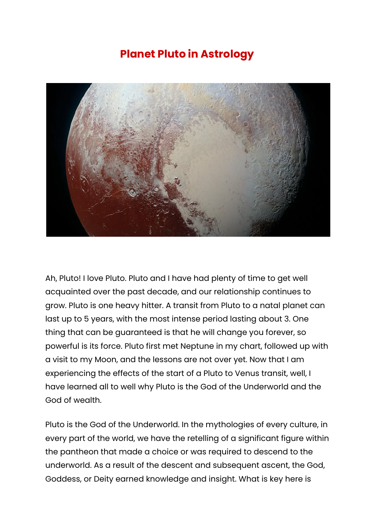## **Planet Pluto in Astrology**



Ah, Pluto! I love Pluto. Pluto and I have had plenty of time to get well acquainted over the past decade, and our relationship continues to grow. Pluto is one heavy hitter. A transit from Pluto to a natal planet can last up to 5 years, with the most intense period lasting about 3. One thing that can be guaranteed is that he will change you forever, so powerful is its force. Pluto first met Neptune in my chart, followed up with a visit to my Moon, and the lessons are not over yet. Now that I am experiencing the effects of the start of a Pluto to Venus transit, well, I have learned all to well why Pluto is the God of the Underworld and the God of wealth.

Pluto is the God of the Underworld. In the mythologies of every culture, in every part of the world, we have the retelling of a significant figure within the pantheon that made a choice or was required to descend to the underworld. As a result of the descent and subsequent ascent, the God, Goddess, or Deity earned knowledge and insight. What is key here is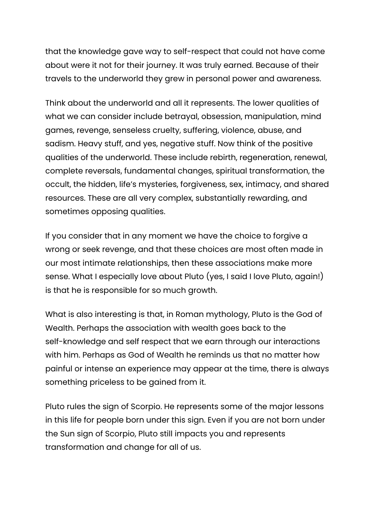that the knowledge gave way to self-respect that could not have come about were it not for their journey. It was truly earned. Because of their travels to the underworld they grew in personal power and awareness.

Think about the underworld and all it represents. The lower qualities of what we can consider include betrayal, obsession, manipulation, mind games, revenge, senseless cruelty, suffering, violence, abuse, and sadism. Heavy stuff, and yes, negative stuff. Now think of the positive qualities of the underworld. These include rebirth, regeneration, renewal, complete reversals, fundamental changes, spiritual transformation, the occult, the hidden, life's mysteries, forgiveness, sex, intimacy, and shared resources. These are all very complex, substantially rewarding, and sometimes opposing qualities.

If you consider that in any moment we have the choice to forgive a wrong or seek revenge, and that these choices are most often made in our most intimate relationships, then these associations make more sense. What I especially love about Pluto (yes, I said I love Pluto, again!) is that he is responsible for so much growth.

What is also interesting is that, in Roman mythology, Pluto is the God of Wealth. Perhaps the association with wealth goes back to the self-knowledge and self respect that we earn through our interactions with him. Perhaps as God of Wealth he reminds us that no matter how painful or intense an experience may appear at the time, there is always something priceless to be gained from it.

Pluto rules the sign of Scorpio. He represents some of the major lessons in this life for people born under this sign. Even if you are not born under the Sun sign of Scorpio, Pluto still impacts you and represents transformation and change for all of us.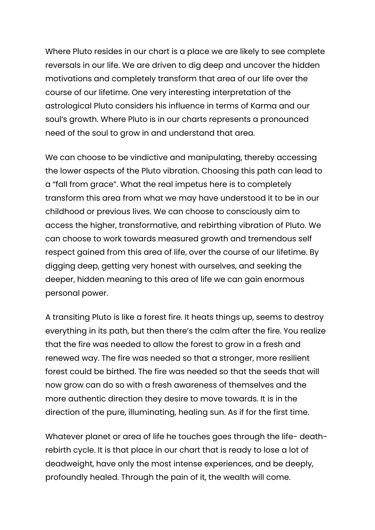Where Pluto resides in our chart is a place we are likely to see complete reversals in our life. We are driven to dig deep and uncover the hidden motivations and completely transform that area of our life over the course of our lifetime. One very interesting interpretation of the astrological Pluto considers his influence in terms of Karma and our soul's growth. Where Pluto is in our charts represents a pronounced need of the soul to grow in and understand that area.

We can choose to be vindictive and manipulating, thereby accessing the lower aspects of the Pluto vibration. Choosing this path can lead to a "fall from grace". What the real impetus here is to completely transform this area from what we may have understood it to be in our childhood or previous lives. We can choose to consciously aim to access the higher, transformative, and rebirthing vibration of Pluto. We can choose to work towards measured growth and tremendous self respect gained from this area of life, over the course of our lifetime. By digging deep, getting very honest with ourselves, and seeking the deeper, hidden meaning to this area of life we can gain enormous personal power.

A transiting Pluto is like a forest fire. It heats things up, seems to destroy everything in its path, but then there's the calm after the fire. You realize that the fire was needed to allow the forest to grow in a fresh and renewed way. The fire was needed so that a stronger, more resilient forest could be birthed. The fire was needed so that the seeds that will now grow can do so with a fresh awareness of themselves and the more authentic direction they desire to move towards. It is in the direction of the pure, illuminating, healing sun. As if for the first time.

Whatever planet or area of life he touches goes through the life-deathrebirth cycle. It is that place in our chart that is ready to lose a lot of deadweight, have only the most intense experiences, and be deeply, profoundly healed. Through the pain of it, the wealth will come.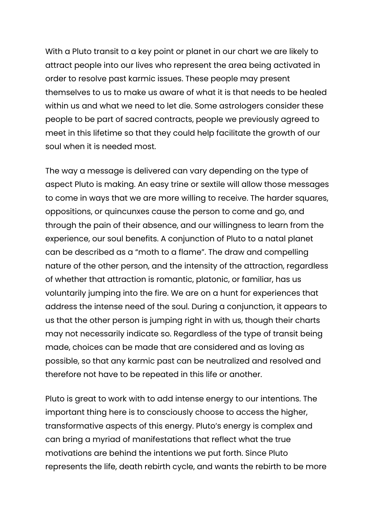With a Pluto transit to a key point or planet in our chart we are likely to attract people into our lives who represent the area being activated in order to resolve past karmic issues. These people may present themselves to us to make us aware of what it is that needs to be healed within us and what we need to let die. Some astrologers consider these people to be part of sacred contracts, people we previously agreed to meet in this lifetime so that they could help facilitate the growth of our soul when it is needed most.

The way a message is delivered can vary depending on the type of aspect Pluto is making. An easy trine or sextile will allow those messages to come in ways that we are more willing to receive. The harder squares, oppositions, or quincunxes cause the person to come and go, and through the pain of their absence, and our willingness to learn from the experience, our soul benefits. A conjunction of Pluto to a natal planet can be described as a "moth to a flame". The draw and compelling nature of the other person, and the intensity of the attraction, regardless of whether that attraction is romantic, platonic, or familiar, has us voluntarily jumping into the fire. We are on a hunt for experiences that address the intense need of the soul. During a conjunction, it appears to us that the other person is jumping right in with us, though their charts may not necessarily indicate so. Regardless of the type of transit being made, choices can be made that are considered and as loving as possible, so that any karmic past can be neutralized and resolved and therefore not have to be repeated in this life or another.

Pluto is great to work with to add intense energy to our intentions. The important thing here is to consciously choose to access the higher, transformative aspects of this energy. Pluto's energy is complex and can bring a myriad of manifestations that reflect what the true motivations are behind the intentions we put forth. Since Pluto represents the life, death rebirth cycle, and wants the rebirth to be more